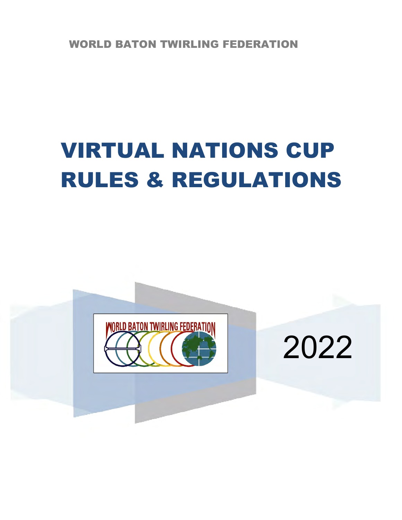WORLD BATON TWIRLING FEDERATION

# VIRTUAL NATIONS CUP RULES & REGULATIONS



2022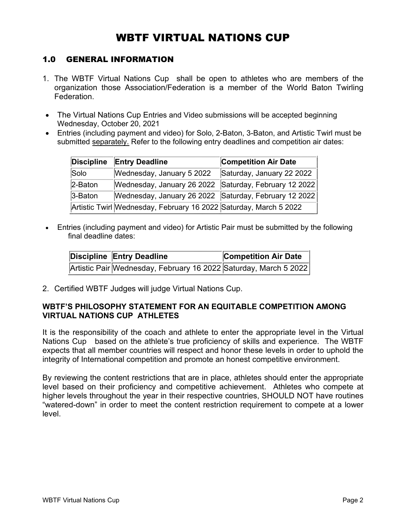# WBTF VIRTUAL NATIONS CUP

## 1.0 GENERAL INFORMATION

- 1. The WBTF Virtual Nations Cup shall be open to athletes who are members of the organization those Association/Federation is a member of the World Baton Twirling Federation.
- The Virtual Nations Cup Entries and Video submissions will be accepted beginning Wednesday, October 20, 2021
- Entries (including payment and video) for Solo, 2-Baton, 3-Baton, and Artistic Twirl must be submitted separately. Refer to the following entry deadlines and competition air dates:

| Discipline  | <b>Entry Deadline</b>                                             | <b>Competition Air Date</b> |
|-------------|-------------------------------------------------------------------|-----------------------------|
| Solo        | Wednesday, January 5 2022                                         | Saturday, January 22 2022   |
| $2-Batch$   | Wednesday, January 26 2022 Saturday, February 12 2022             |                             |
| $3 -$ Baton | Wednesday, January 26 2022 Saturday, February 12 2022             |                             |
|             | Artistic Twirl Wednesday, February 16 2022 Saturday, March 5 2022 |                             |

• Entries (including payment and video) for Artistic Pair must be submitted by the following final deadline dates:

| Discipline Entry Deadline                                        | <b>Competition Air Date</b> |
|------------------------------------------------------------------|-----------------------------|
| Artistic Pair Wednesday, February 16 2022 Saturday, March 5 2022 |                             |

2. Certified WBTF Judges will judge Virtual Nations Cup.

## **WBTF'S PHILOSOPHY STATEMENT FOR AN EQUITABLE COMPETITION AMONG VIRTUAL NATIONS CUP ATHLETES**

It is the responsibility of the coach and athlete to enter the appropriate level in the Virtual Nations Cup based on the athlete's true proficiency of skills and experience. The WBTF expects that all member countries will respect and honor these levels in order to uphold the integrity of International competition and promote an honest competitive environment.

By reviewing the content restrictions that are in place, athletes should enter the appropriate level based on their proficiency and competitive achievement. Athletes who compete at higher levels throughout the year in their respective countries, SHOULD NOT have routines "watered-down" in order to meet the content restriction requirement to compete at a lower level.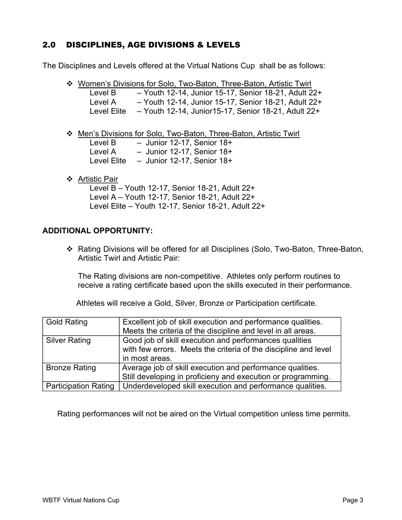# 2.0 DISCIPLINES, AGE DIVISIONS & LEVELS

The Disciplines and Levels offered at the Virtual Nations Cup shall be as follows:

|             | ❖ Women's Divisions for Solo, Two-Baton, Three-Baton, Artistic Twirl |
|-------------|----------------------------------------------------------------------|
| Level B     | - Youth 12-14, Junior 15-17, Senior 18-21, Adult 22+                 |
| Level A     | - Youth 12-14, Junior 15-17, Senior 18-21, Adult 22+                 |
| Level Elite | - Youth 12-14, Junior 15-17, Senior 18-21, Adult 22+                 |

Men's Divisions for Solo, Two-Baton, Three-Baton, Artistic Twirl

| Level B     | $-$ Junior 12-17, Senior 18+ |
|-------------|------------------------------|
| Level A     | $-$ Junior 12-17, Senior 18+ |
| Level Elite | $-$ Junior 12-17, Senior 18+ |
|             |                              |

❖ Artistic Pair

Level B – Youth 12-17, Senior 18-21, Adult 22+ Level A – Youth 12-17, Senior 18-21, Adult 22+ Level Elite – Youth 12-17, Senior 18-21, Adult 22+

### **ADDITIONAL OPPORTUNITY:**

 Rating Divisions will be offered for all Disciplines (Solo, Two-Baton, Three-Baton, Artistic Twirl and Artistic Pair:

The Rating divisions are non-competitive. Athletes only perform routines to receive a rating certificate based upon the skills executed in their performance.

Athletes will receive a Gold, Silver, Bronze or Participation certificate.

| <b>Gold Rating</b>          | Excellent job of skill execution and performance qualities.<br>Meets the criteria of the discipline and level in all areas. |
|-----------------------------|-----------------------------------------------------------------------------------------------------------------------------|
| <b>Silver Rating</b>        | Good job of skill execution and performances qualities<br>with few errors. Meets the criteria of the discipline and level   |
|                             | in most areas.                                                                                                              |
| <b>Bronze Rating</b>        | Average job of skill execution and performance qualities.                                                                   |
|                             | Still developing in proficieny and execution or programming.                                                                |
| <b>Participation Rating</b> | Underdeveloped skill execution and performance qualities.                                                                   |

Rating performances will not be aired on the Virtual competition unless time permits.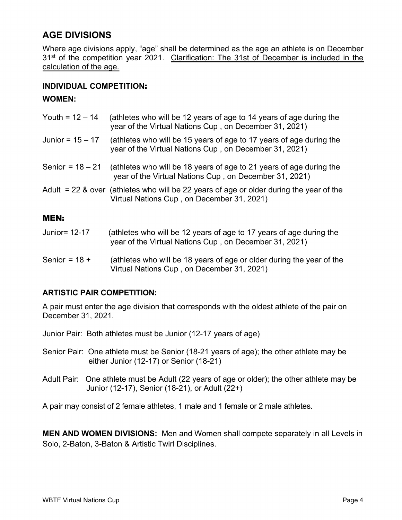# **AGE DIVISIONS**

Where age divisions apply, "age" shall be determined as the age an athlete is on December 31<sup>st</sup> of the competition year 2021. Clarification: The 31st of December is included in the calculation of the age.

## **INDIVIDUAL COMPETITION**:

## **WOMEN:**

| Youth = $12 - 14$  | (athletes who will be 12 years of age to 14 years of age during the<br>year of the Virtual Nations Cup, on December 31, 2021)           |
|--------------------|-----------------------------------------------------------------------------------------------------------------------------------------|
| Junior = $15 - 17$ | (athletes who will be 15 years of age to 17 years of age during the<br>year of the Virtual Nations Cup, on December 31, 2021)           |
| Senior = $18 - 21$ | (athletes who will be 18 years of age to 21 years of age during the<br>year of the Virtual Nations Cup, on December 31, 2021)           |
|                    | Adult $= 22$ & over (athletes who will be 22 years of age or older during the year of the<br>Virtual Nations Cup, on December 31, 2021) |
| <b>MEN:</b>        |                                                                                                                                         |

# Junior= 12-17 (athletes who will be 12 years of age to 17 years of age during the year of the Virtual Nations Cup , on December 31, 2021)

Senior =  $18 +$  (athletes who will be 18 years of age or older during the year of the Virtual Nations Cup , on December 31, 2021)

## **ARTISTIC PAIR COMPETITION:**

A pair must enter the age division that corresponds with the oldest athlete of the pair on December 31, 2021.

Junior Pair: Both athletes must be Junior (12-17 years of age)

- Senior Pair: One athlete must be Senior (18-21 years of age); the other athlete may be either Junior (12-17) or Senior (18-21)
- Adult Pair: One athlete must be Adult (22 years of age or older); the other athlete may be Junior (12-17), Senior (18-21), or Adult (22+)

A pair may consist of 2 female athletes, 1 male and 1 female or 2 male athletes.

**MEN AND WOMEN DIVISIONS:** Men and Women shall compete separately in all Levels in Solo, 2-Baton, 3-Baton & Artistic Twirl Disciplines.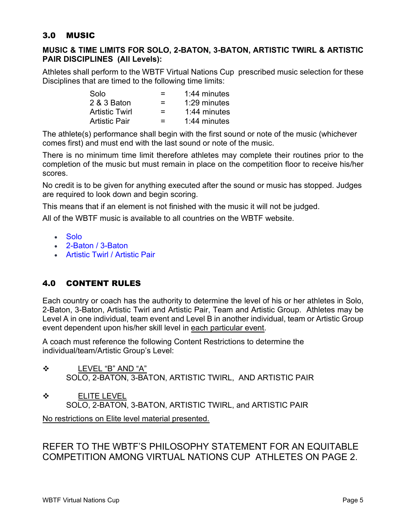# 3.0 MUSIC

## **MUSIC & TIME LIMITS FOR SOLO, 2-BATON, 3-BATON, ARTISTIC TWIRL & ARTISTIC PAIR DISCIPLINES (All Levels):**

Athletes shall perform to the WBTF Virtual Nations Cup prescribed music selection for these Disciplines that are timed to the following time limits:

| Solo                  | =             | $1:44$ minutes |
|-----------------------|---------------|----------------|
| 2 & 3 Baton           | $=$           | 1:29 minutes   |
| <b>Artistic Twirl</b> | $=$           | $1:44$ minutes |
| <b>Artistic Pair</b>  | <u>. на п</u> | $1:44$ minutes |

The athlete(s) performance shall begin with the first sound or note of the music (whichever comes first) and must end with the last sound or note of the music.

There is no minimum time limit therefore athletes may complete their routines prior to the completion of the music but must remain in place on the competition floor to receive his/her scores.

No credit is to be given for anything executed after the sound or music has stopped. Judges are required to look down and begin scoring.

This means that if an element is not finished with the music it will not be judged.

All of the WBTF music is available to all countries on the WBTF website.

- [Solo](https://www.wbtf.org/content/audio-international-cup-solo-music)
- [2-Baton / 3-Baton](https://www.wbtf.org/content/audio-international-cup-2-baton3-baton-music)
- [Artistic Twirl / Artistic Pair](https://www.wbtf.org/content/audio-international-cup-artistic-twirlartistic-pair-music-2015)

# 4.0 CONTENT RULES

Each country or coach has the authority to determine the level of his or her athletes in Solo, 2-Baton, 3-Baton, Artistic Twirl and Artistic Pair, Team and Artistic Group. Athletes may be Level A in one individual, team event and Level B in another individual, team or Artistic Group event dependent upon his/her skill level in each particular event.

A coach must reference the following Content Restrictions to determine the individual/team/Artistic Group's Level:

- LEVEL "B" AND "A" SOLO, 2-BATON, 3-BATON, ARTISTIC TWIRL, AND ARTISTIC PAIR
- ❖ ELITE LEVEL SOLO, 2-BATON, 3-BATON, ARTISTIC TWIRL, and ARTISTIC PAIR

No restrictions on Elite level material presented.

# REFER TO THE WBTF'S PHILOSOPHY STATEMENT FOR AN EQUITABLE COMPETITION AMONG VIRTUAL NATIONS CUP ATHLETES ON PAGE 2.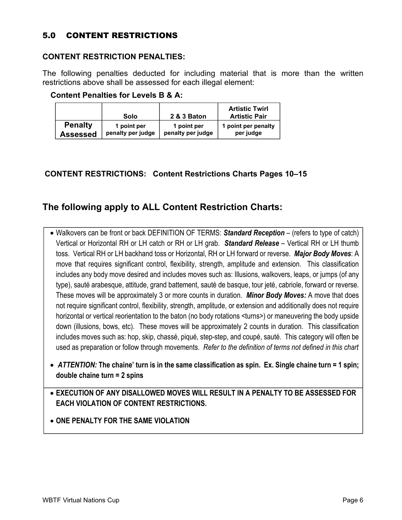# 5.0 CONTENT RESTRICTIONS

### **CONTENT RESTRICTION PENALTIES:**

The following penalties deducted for including material that is more than the written restrictions above shall be assessed for each illegal element:

|                 | Solo              | 2 & 3 Baton       | <b>Artistic Twirl</b><br><b>Artistic Pair</b> |
|-----------------|-------------------|-------------------|-----------------------------------------------|
| <b>Penalty</b>  | 1 point per       | 1 point per       | 1 point per penalty                           |
| <b>Assessed</b> | penalty per judge | penalty per judge | per judge                                     |

#### **Content Penalties for Levels B & A:**

## **CONTENT RESTRICTIONS: Content Restrictions Charts Pages 10–15**

# **The following apply to ALL Content Restriction Charts:**

- Walkovers can be front or back DEFINITION OF TERMS: *Standard Reception* (refers to type of catch) Vertical or Horizontal RH or LH catch or RH or LH grab. *Standard Release* – Vertical RH or LH thumb toss. Vertical RH or LH backhand toss or Horizontal, RH or LH forward or reverse. *Major Body Moves*: A move that requires significant control, flexibility, strength, amplitude and extension. This classification includes any body move desired and includes moves such as: Illusions, walkovers, leaps, or jumps (of any type), sauté arabesque, attitude, grand battement, sauté de basque, tour jeté, cabriole, forward or reverse. These moves will be approximately 3 or more counts in duration. *Minor Body Moves:* A move that does not require significant control, flexibility, strength, amplitude, or extension and additionally does not require horizontal or vertical reorientation to the baton (no body rotations <turns>) or maneuvering the body upside down (illusions, bows, etc). These moves will be approximately 2 counts in duration. This classification includes moves such as: hop, skip, chassé, piqué, step-step, and coupé, sauté. This category will often be used as preparation or follow through movements. *Refer to the definition of terms not defined in this chart*
- *ATTENTION:* **The chaine' turn is in the same classification as spin. Ex. Single chaine turn = 1 spin; double chaine turn = 2 spins**
- **EXECUTION OF ANY DISALLOWED MOVES WILL RESULT IN A PENALTY TO BE ASSESSED FOR EACH VIOLATION OF CONTENT RESTRICTIONS.**
- **ONE PENALTY FOR THE SAME VIOLATION**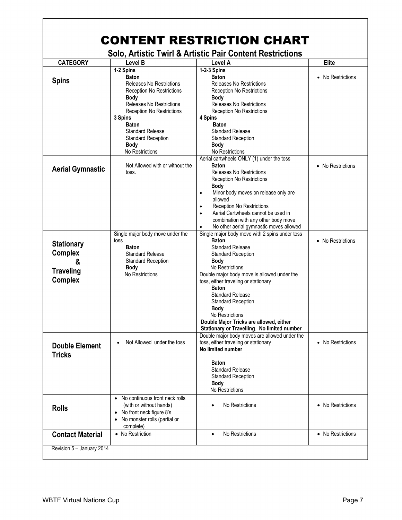|                                                                                |                                                                                                                                                                                                                                                                                                             | <b>CONTENT RESTRICTION CHART</b>                                                                                                                                                                                                                                                                                                                                                                                                                                                                     |                   |
|--------------------------------------------------------------------------------|-------------------------------------------------------------------------------------------------------------------------------------------------------------------------------------------------------------------------------------------------------------------------------------------------------------|------------------------------------------------------------------------------------------------------------------------------------------------------------------------------------------------------------------------------------------------------------------------------------------------------------------------------------------------------------------------------------------------------------------------------------------------------------------------------------------------------|-------------------|
|                                                                                |                                                                                                                                                                                                                                                                                                             | <b>Solo, Artistic Twirl &amp; Artistic Pair Content Restrictions</b>                                                                                                                                                                                                                                                                                                                                                                                                                                 |                   |
| <b>CATEGORY</b>                                                                | <b>Level B</b>                                                                                                                                                                                                                                                                                              | Level A                                                                                                                                                                                                                                                                                                                                                                                                                                                                                              | Elite             |
| <b>Spins</b>                                                                   | 1-2 Spins<br><b>Baton</b><br><b>Releases No Restrictions</b><br><b>Reception No Restrictions</b><br><b>Body</b><br><b>Releases No Restrictions</b><br><b>Reception No Restrictions</b><br>3 Spins<br><b>Baton</b><br><b>Standard Release</b><br><b>Standard Reception</b><br><b>Body</b><br>No Restrictions | 1-2-3 Spins<br><b>Baton</b><br><b>Releases No Restrictions</b><br>Reception No Restrictions<br><b>Body</b><br>Releases No Restrictions<br>Reception No Restrictions<br>4 Spins<br><b>Baton</b><br><b>Standard Release</b><br><b>Standard Reception</b><br><b>Body</b><br>No Restrictions                                                                                                                                                                                                             | • No Restrictions |
| <b>Aerial Gymnastic</b>                                                        | Not Allowed with or without the<br>toss.                                                                                                                                                                                                                                                                    | Aerial cartwheels ONLY (1) under the toss<br><b>Baton</b><br>Releases No Restrictions<br>Reception No Restrictions<br><b>Body</b><br>Minor body moves on release only are<br>$\bullet$<br>allowed<br><b>Reception No Restrictions</b><br>$\bullet$<br>Aerial Cartwheels cannot be used in<br>$\bullet$<br>combination with any other body move<br>No other aerial gymnastic moves allowed<br>$\bullet$                                                                                               | • No Restrictions |
| <b>Stationary</b><br><b>Complex</b><br>&<br><b>Traveling</b><br><b>Complex</b> | Single major body move under the<br>toss<br><b>Baton</b><br><b>Standard Release</b><br><b>Standard Reception</b><br><b>Body</b><br>No Restrictions                                                                                                                                                          | Single major body move with 2 spins under toss<br><b>Baton</b><br><b>Standard Release</b><br><b>Standard Reception</b><br><b>Body</b><br>No Restrictions<br>Double major body move is allowed under the<br>toss, either traveling or stationary<br><b>Baton</b><br><b>Standard Release</b><br><b>Standard Reception</b><br><b>Body</b><br>No Restrictions<br>Double Major Tricks are allowed, either<br>Stationary or Travelling. No limited number<br>Double major body moves are allowed under the | • No Restrictions |
| <b>Double Element</b><br><b>Tricks</b>                                         | Not Allowed under the toss<br>$\bullet$                                                                                                                                                                                                                                                                     | toss, either traveling or stationary<br>No limited number<br><b>Baton</b><br><b>Standard Release</b><br><b>Standard Reception</b><br><b>Body</b><br>No Restrictions                                                                                                                                                                                                                                                                                                                                  | • No Restrictions |
| <b>Rolls</b>                                                                   | • No continuous front neck rolls<br>(with or without hands)<br>• No front neck figure 8's<br>No monster rolls (partial or<br>complete)                                                                                                                                                                      | No Restrictions                                                                                                                                                                                                                                                                                                                                                                                                                                                                                      | • No Restrictions |
| <b>Contact Material</b>                                                        | • No Restriction                                                                                                                                                                                                                                                                                            | No Restrictions<br>$\bullet$                                                                                                                                                                                                                                                                                                                                                                                                                                                                         | • No Restrictions |
| Revision 5 - January 2014                                                      |                                                                                                                                                                                                                                                                                                             |                                                                                                                                                                                                                                                                                                                                                                                                                                                                                                      |                   |

 $\Gamma$ 

٦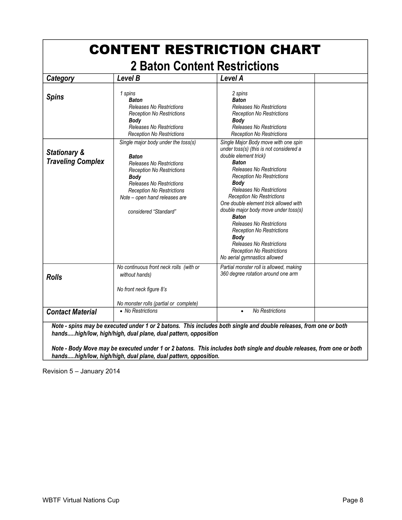| Category                                            | Level B                                                                                                                                                                                                                                                                    | Level A                                                                                                                                                                                                                                                                                                                                                                                                                                                                                                                                                                      |  |
|-----------------------------------------------------|----------------------------------------------------------------------------------------------------------------------------------------------------------------------------------------------------------------------------------------------------------------------------|------------------------------------------------------------------------------------------------------------------------------------------------------------------------------------------------------------------------------------------------------------------------------------------------------------------------------------------------------------------------------------------------------------------------------------------------------------------------------------------------------------------------------------------------------------------------------|--|
| <b>Spins</b>                                        | 1 spins<br><b>Baton</b><br><b>Releases No Restrictions</b><br><b>Reception No Restrictions</b><br>Body<br>Releases No Restrictions<br><b>Reception No Restrictions</b>                                                                                                     | 2 spins<br><b>Baton</b><br><b>Releases No Restrictions</b><br><b>Reception No Restrictions</b><br><b>Body</b><br>Releases No Restrictions<br><b>Reception No Restrictions</b>                                                                                                                                                                                                                                                                                                                                                                                                |  |
| <b>Stationary &amp;</b><br><b>Traveling Complex</b> | Single major body under the toss(s)<br><b>Baton</b><br><b>Releases No Restrictions</b><br><b>Reception No Restrictions</b><br><b>Body</b><br><b>Releases No Restrictions</b><br><b>Reception No Restrictions</b><br>Note - open hand releases are<br>considered "Standard" | Single Major Body move with one spin<br>under toss(s) (this is not considered a<br>double element trick)<br><b>Baton</b><br><b>Releases No Restrictions</b><br><b>Reception No Restrictions</b><br><b>Body</b><br><b>Releases No Restrictions</b><br><b>Reception No Restrictions</b><br>One double element trick allowed with<br>double major body move under toss(s)<br><b>Baton</b><br><b>Releases No Restrictions</b><br><b>Reception No Restrictions</b><br>Bodv<br><b>Releases No Restrictions</b><br><b>Reception No Restrictions</b><br>No aerial gymnastics allowed |  |
| <b>Rolls</b>                                        | No continuous front neck rolls (with or<br>without hands)<br>No front neck figure 8's                                                                                                                                                                                      | Partial monster roll is allowed, making<br>360 degree rotation around one arm                                                                                                                                                                                                                                                                                                                                                                                                                                                                                                |  |
| <b>Contact Material</b>                             | No monster rolls (partial or complete)<br>• No Restrictions                                                                                                                                                                                                                | <b>No Restrictions</b><br>$\bullet$                                                                                                                                                                                                                                                                                                                                                                                                                                                                                                                                          |  |

*Note - Body Move may be executed under 1 or 2 batons. This includes both single and double releases, from one or both hands.....high/low, high/high, dual plane, dual pattern, opposition.*

Revision 5 – January 2014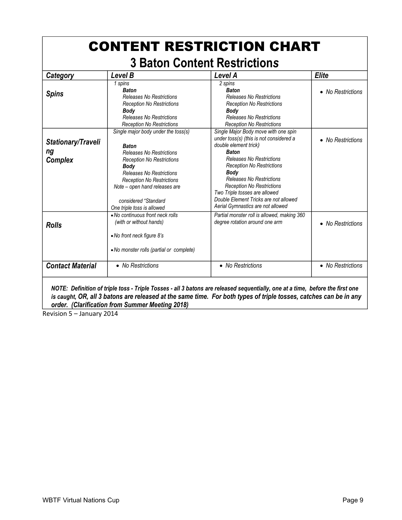| <b>CONTENT RESTRICTION CHART</b>           |                                                                                                                                                                                                                                                                                                  |                                                                                                                                                                                                                                                                                                                                                                                                      |                   |  |
|--------------------------------------------|--------------------------------------------------------------------------------------------------------------------------------------------------------------------------------------------------------------------------------------------------------------------------------------------------|------------------------------------------------------------------------------------------------------------------------------------------------------------------------------------------------------------------------------------------------------------------------------------------------------------------------------------------------------------------------------------------------------|-------------------|--|
|                                            |                                                                                                                                                                                                                                                                                                  | <b>3 Baton Content Restrictions</b>                                                                                                                                                                                                                                                                                                                                                                  |                   |  |
| Category                                   | Level B                                                                                                                                                                                                                                                                                          | Level A                                                                                                                                                                                                                                                                                                                                                                                              | <b>Elite</b>      |  |
| <b>Spins</b>                               | 1 spins<br><b>Baton</b><br><b>Releases No Restrictions</b><br><b>Reception No Restrictions</b><br>Body<br><b>Releases No Restrictions</b><br><b>Reception No Restrictions</b>                                                                                                                    | 2 spins<br><b>Baton</b><br>Releases No Restrictions<br><b>Reception No Restrictions</b><br>Body<br><b>Releases No Restrictions</b><br><b>Reception No Restrictions</b>                                                                                                                                                                                                                               | • No Restrictions |  |
| <b>Stationary/Traveli</b><br>ng<br>Complex | Single major body under the toss(s)<br><b>Baton</b><br><b>Releases No Restrictions</b><br><b>Reception No Restrictions</b><br>Body<br><b>Releases No Restrictions</b><br><b>Reception No Restrictions</b><br>Note - open hand releases are<br>considered "Standard<br>One triple toss is allowed | Single Major Body move with one spin<br>under toss(s) (this is not considered a<br>double element trick)<br><b>Baton</b><br><b>Releases No Restrictions</b><br><b>Reception No Restrictions</b><br><b>Body</b><br><b>Releases No Restrictions</b><br><b>Reception No Restrictions</b><br>Two Triple tosses are allowed<br>Double Element Tricks are not allowed<br>Aerial Gymnastics are not allowed | • No Restrictions |  |
| <b>Rolls</b>                               | • No continuous front neck rolls<br>(with or without hands)<br>• No front neck figure 8's<br>• No monster rolls (partial or complete)                                                                                                                                                            | Partial monster roll is allowed, making 360<br>degree rotation around one arm                                                                                                                                                                                                                                                                                                                        | • No Restrictions |  |
| <b>Contact Material</b>                    | • No Restrictions                                                                                                                                                                                                                                                                                | • No Restrictions                                                                                                                                                                                                                                                                                                                                                                                    | • No Restrictions |  |
|                                            |                                                                                                                                                                                                                                                                                                  | NOTE: Definition of triple toss - Triple Tosses - all 3 batons are released sequentially, one at a time, before the first one                                                                                                                                                                                                                                                                        |                   |  |

*is caught, OR, all 3 batons are released at the same time. For both types of triple tosses, catches can be in any order. (Clarification from Summer Meeting 2018)* 

Revision 5 – January 2014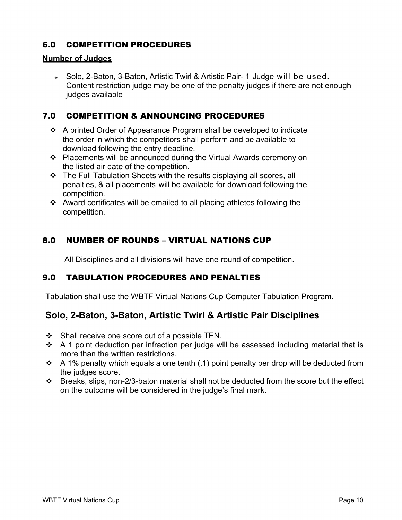# 6.0 COMPETITION PROCEDURES

#### **Number of Judges**

 Solo, 2-Baton, 3-Baton, Artistic Twirl & Artistic Pair- 1 Judge will be used. Content restriction judge may be one of the penalty judges if there are not enough judges available

## 7.0 COMPETITION & ANNOUNCING PROCEDURES

- $\div$  A printed Order of Appearance Program shall be developed to indicate the order in which the competitors shall perform and be available to download following the entry deadline.
- Placements will be announced during the Virtual Awards ceremony on the listed air date of the competition.
- $\div$  The Full Tabulation Sheets with the results displaying all scores, all penalties, & all placements will be available for download following the competition.
- Award certificates will be emailed to all placing athletes following the competition.

# 8.0 NUMBER OF ROUNDS – VIRTUAL NATIONS CUP

All Disciplines and all divisions will have one round of competition.

# 9.0 TABULATION PROCEDURES AND PENALTIES

Tabulation shall use the WBTF Virtual Nations Cup Computer Tabulation Program.

# **Solo, 2-Baton, 3-Baton, Artistic Twirl & Artistic Pair Disciplines**

- $\div$  Shall receive one score out of a possible TEN.
- $\div$  A 1 point deduction per infraction per judge will be assessed including material that is more than the written restrictions.
- $\cdot$  A 1% penalty which equals a one tenth (.1) point penalty per drop will be deducted from the judges score.
- Breaks, slips, non-2/3-baton material shall not be deducted from the score but the effect on the outcome will be considered in the judge's final mark.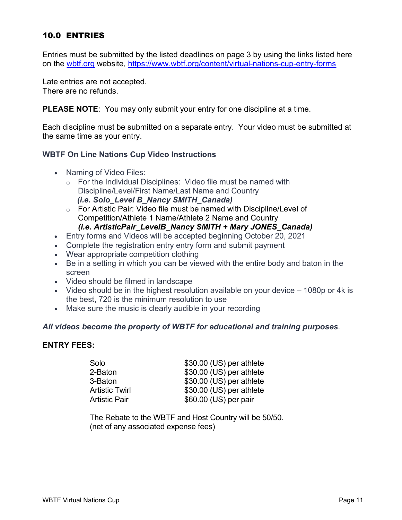# 10.0 ENTRIES

Entries must be submitted by the listed deadlines on page 3 by using the links listed here on the [wbtf.org](http://wbtf.org/) website, <https://www.wbtf.org/content/virtual-nations-cup-entry-forms>

Late entries are not accepted. There are no refunds.

**PLEASE NOTE**: You may only submit your entry for one discipline at a time.

Each discipline must be submitted on a separate entry. Your video must be submitted at the same time as your entry.

### **WBTF On Line Nations Cup Video Instructions**

- Naming of Video Files:
	- $\circ$  For the Individual Disciplines: Video file must be named with Discipline/Level/First Name/Last Name and Country  *(i.e. Solo\_Level B\_Nancy SMITH\_Canada)*
	- o For Artistic Pair: Video file must be named with Discipline/Level of Competition/Athlete 1 Name/Athlete 2 Name and Country
		- *(i.e. ArtisticPair\_LevelB\_Nancy SMITH + Mary JONES\_Canada)*
- Entry forms and Videos will be accepted beginning October 20, 2021
- Complete the registration entry entry form and submit payment
- Wear appropriate competition clothing
- Be in a setting in which you can be viewed with the entire body and baton in the screen
- Video should be filmed in landscape
- Video should be in the highest resolution available on your device 1080p or 4k is the best, 720 is the minimum resolution to use
- Make sure the music is clearly audible in your recording

### *All videos become the property of WBTF for educational and training purposes*.

#### **ENTRY FEES:**

| Solo                  | \$30.00 (US) per athlete |
|-----------------------|--------------------------|
| 2-Baton               | \$30.00 (US) per athlete |
| 3-Baton               | \$30.00 (US) per athlete |
| <b>Artistic Twirl</b> | \$30.00 (US) per athlete |
| <b>Artistic Pair</b>  | \$60.00 (US) per pair    |

The Rebate to the WBTF and Host Country will be 50/50. (net of any associated expense fees)